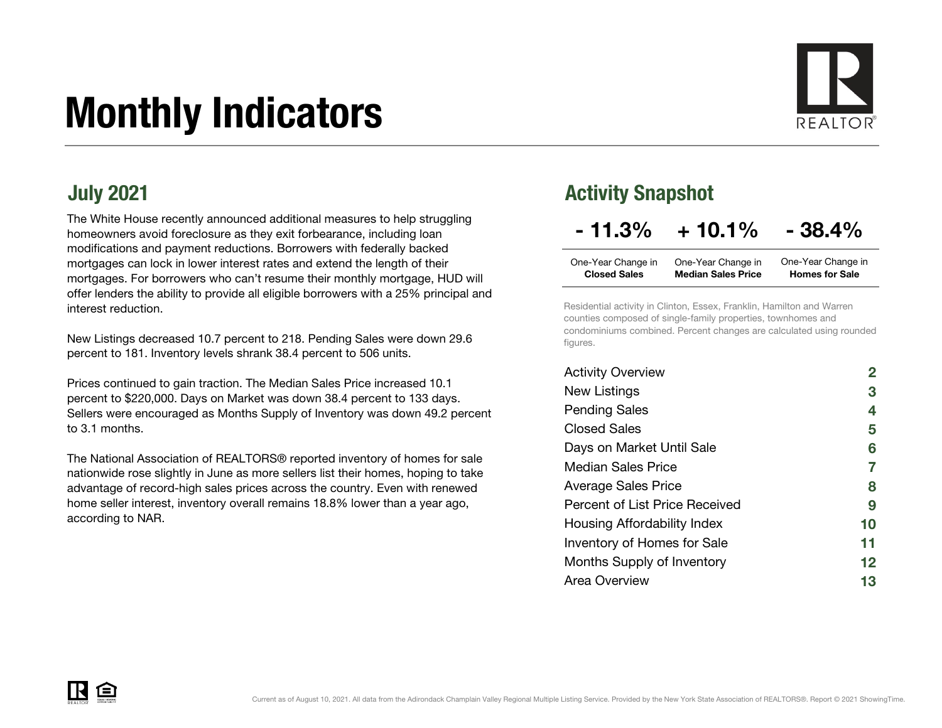# Monthly Indicators



The White House recently announced additional measures to help struggling homeowners avoid foreclosure as they exit forbearance, including loan modifications and payment reductions. Borrowers with federally backed mortgages can lock in lower interest rates and extend the length of their mortgages. For borrowers who can't resume their monthly mortgage, HUD will offer lenders the ability to provide all eligible borrowers with a 25% principal and interest reduction.

New Listings decreased 10.7 percent to 218. Pending Sales were down 29.6 percent to 181. Inventory levels shrank 38.4 percent to 506 units.

Prices continued to gain traction. The Median Sales Price increased 10.1 percent to \$220,000. Days on Market was down 38.4 percent to 133 days. Sellers were encouraged as Months Supply of Inventory was down 49.2 percent to 3.1 months.

The National Association of REALTORS® reported inventory of homes for sale nationwide rose slightly in June as more sellers list their homes, hoping to take advantage of record-high sales prices across the country. Even with renewed home seller interest, inventory overall remains 18.8% lower than a year ago, according to NAR.

## July 2021 **Activity Snapshot**

## $-11.3\% + 10.1\% - 38.4\%$

| One-Year Change in  | One-Year Change in        | One-Year Change in    |
|---------------------|---------------------------|-----------------------|
| <b>Closed Sales</b> | <b>Median Sales Price</b> | <b>Homes for Sale</b> |

Residential activity in Clinton, Essex, Franklin, Hamilton and Warren counties composed of single-family properties, townhomes and condominiums combined. Percent changes are calculated using rounded figures.

| <b>Activity Overview</b>       |                   |
|--------------------------------|-------------------|
| New Listings                   | 3                 |
| <b>Pending Sales</b>           | 4                 |
| <b>Closed Sales</b>            | 5                 |
| Days on Market Until Sale      | 6                 |
| Median Sales Price             | 7                 |
| <b>Average Sales Price</b>     | 8                 |
| Percent of List Price Received | 9                 |
| Housing Affordability Index    | 10                |
| Inventory of Homes for Sale    | 11                |
| Months Supply of Inventory     | $12 \ \mathsf{ }$ |
| Area Overview                  | 13                |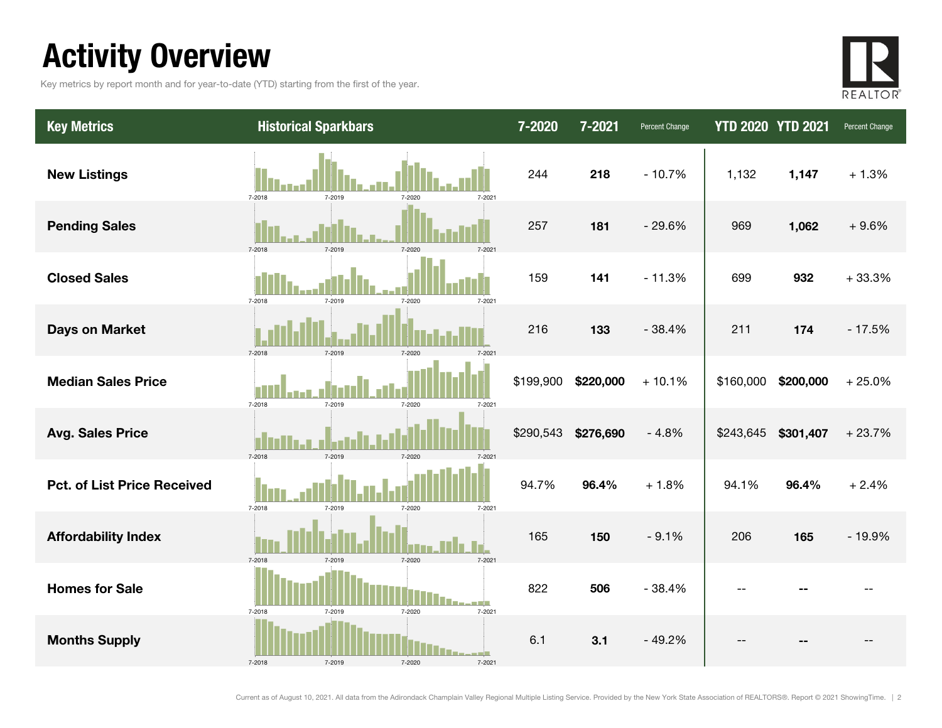## Activity Overview

Key metrics by report month and for year-to-date (YTD) starting from the first of the year.



| <b>Key Metrics</b>                 | <b>Historical Sparkbars</b>                  | 7-2020    | 7-2021    | Percent Change | <b>YTD 2020 YTD 2021</b> |           | Percent Change |
|------------------------------------|----------------------------------------------|-----------|-----------|----------------|--------------------------|-----------|----------------|
| <b>New Listings</b>                | 7-2018<br>7-2021<br>7-2019<br>7-2020         | 244       | 218       | $-10.7%$       | 1,132                    | 1,147     | $+1.3%$        |
| <b>Pending Sales</b>               | 7-2019<br>7-2018<br>7-2020                   | 257       | 181       | $-29.6%$       | 969                      | 1,062     | $+9.6%$        |
| <b>Closed Sales</b>                | 7-2019<br>$7 - 2021$<br>7-2018<br>7-2020     | 159       | 141       | $-11.3%$       | 699                      | 932       | $+33.3%$       |
| <b>Days on Market</b>              | 7-2018<br>7-2019<br>7-2020<br>$7 - 202$      | 216       | 133       | $-38.4%$       | 211                      | 174       | $-17.5%$       |
| <b>Median Sales Price</b>          | 7-2018<br>7-2019<br>7-2020<br>7-2021         | \$199,900 | \$220,000 | $+10.1%$       | \$160,000                | \$200,000 | $+25.0%$       |
| <b>Avg. Sales Price</b>            | 7-2018<br>7-2019<br>7-2020<br>7-202          | \$290,543 | \$276,690 | $-4.8%$        | \$243,645                | \$301,407 | $+23.7%$       |
| <b>Pct. of List Price Received</b> | 7-2018<br>7-2019<br>7-2020<br>7-2021         | 94.7%     | 96.4%     | $+1.8%$        | 94.1%                    | 96.4%     | $+2.4%$        |
| <b>Affordability Index</b>         | 7-2018<br>7-2019<br>7-2020<br>7-2021         | 165       | 150       | $-9.1%$        | 206                      | 165       | $-19.9%$       |
| <b>Homes for Sale</b>              | 7-2018<br>7-2019<br>7-2021<br>7-2020         | 822       | 506       | $-38.4%$       |                          |           |                |
| <b>Months Supply</b>               | -- F<br>7-2018<br>7-2019<br>7-2020<br>7-2021 | 6.1       | 3.1       | $-49.2%$       |                          |           |                |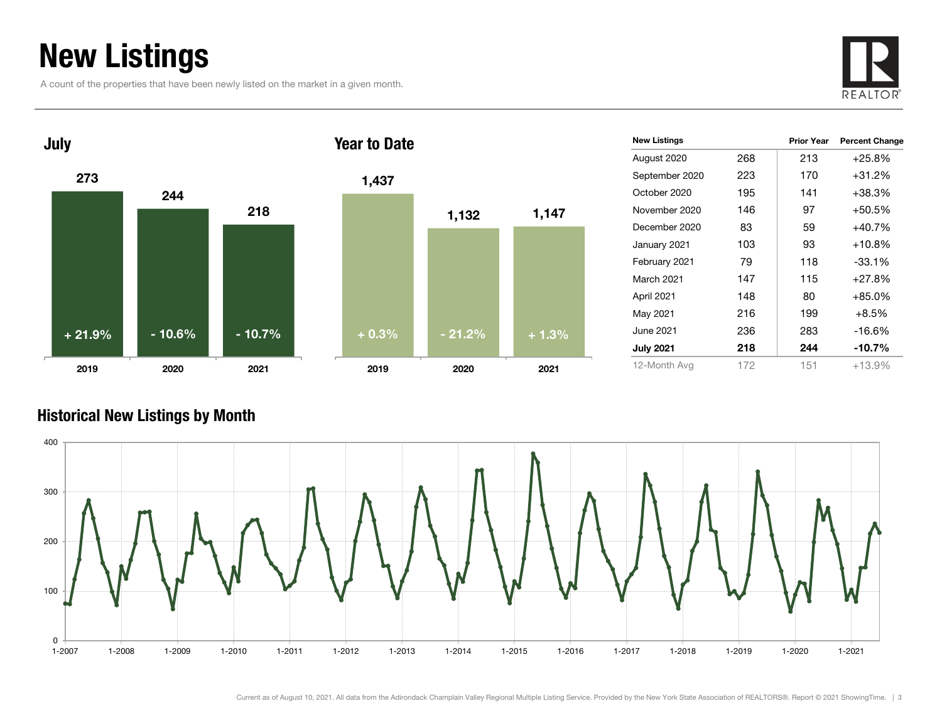## New Listings

A count of the properties that have been newly listed on the market in a given month.





| <b>New Listings</b> |     | <b>Prior Year</b> | <b>Percent Change</b> |
|---------------------|-----|-------------------|-----------------------|
| August 2020         | 268 | 213               | $+25.8%$              |
| September 2020      | 223 | 170               | $+31.2%$              |
| October 2020        | 195 | 141               | $+38.3%$              |
| November 2020       | 146 | 97                | $+50.5\%$             |
| December 2020       | 83  | 59                | $+40.7\%$             |
| January 2021        | 103 | 93                | $+10.8\%$             |
| February 2021       | 79  | 118               | $-33.1%$              |
| March 2021          | 147 | 115               | $+27.8%$              |
| April 2021          | 148 | 80                | $+85.0%$              |
| May 2021            | 216 | 199               | $+8.5%$               |
| June 2021           | 236 | 283               | $-16.6%$              |
| <b>July 2021</b>    | 218 | 244               | -10.7%                |
| 12-Month Avg        | 172 | 151               | $+13.9%$              |

### Historical New Listings by Month

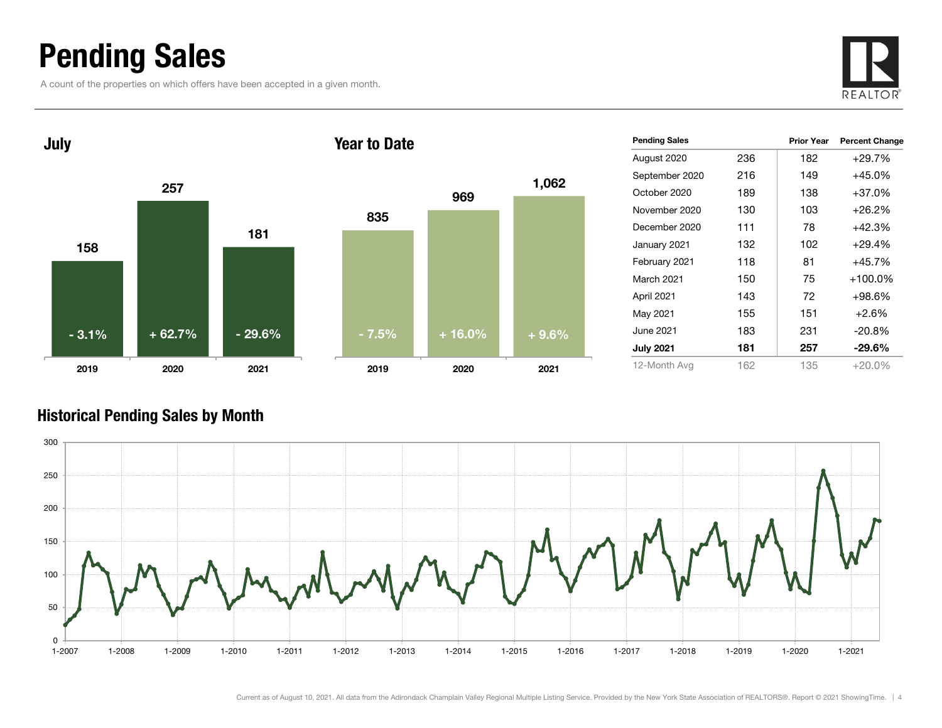## Pending Sales

A count of the properties on which offers have been accepted in a given month.





| <b>Pending Sales</b> |     | <b>Prior Year</b> | <b>Percent Change</b> |
|----------------------|-----|-------------------|-----------------------|
| August 2020          | 236 | 182               | +29.7%                |
| September 2020       | 216 | 149               | +45.0%                |
| October 2020         | 189 | 138               | +37.0%                |
| November 2020        | 130 | 103               | $+26.2%$              |
| December 2020        | 111 | 78                | +42.3%                |
| January 2021         | 132 | 102               | +29.4%                |
| February 2021        | 118 | 81                | +45.7%                |
| March 2021           | 150 | 75                | $+100.0\%$            |
| April 2021           | 143 | 72                | $+98.6\%$             |
| May 2021             | 155 | 151               | $+2.6%$               |
| June 2021            | 183 | 231               | $-20.8%$              |
| <b>July 2021</b>     | 181 | 257               | -29.6%                |
| 12-Month Avg         | 162 | 135               | $+20.0\%$             |

### Historical Pending Sales by Month

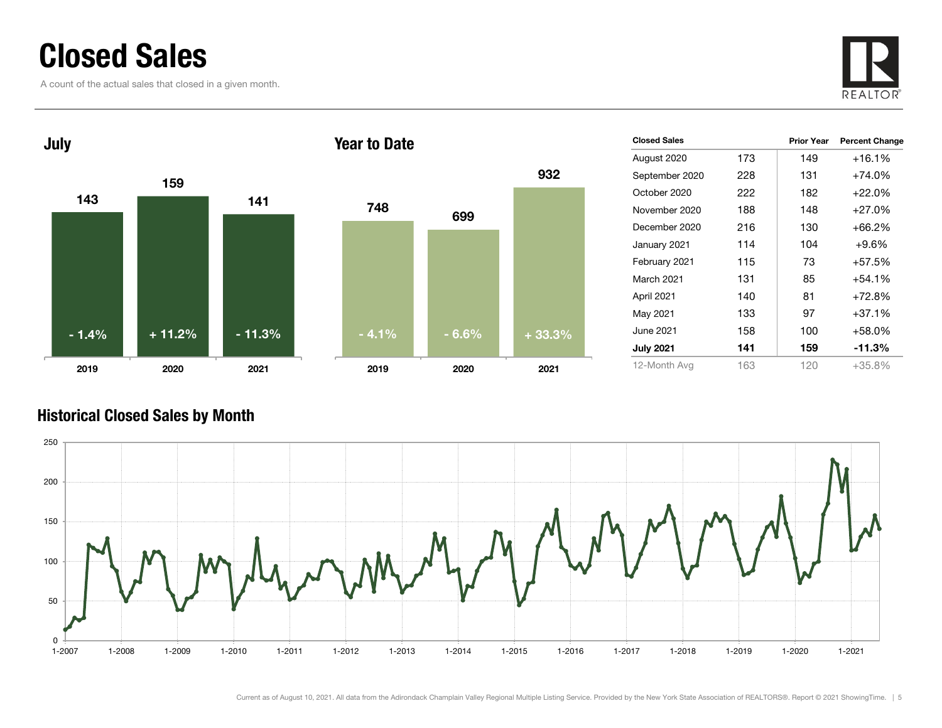## Closed Sales

A count of the actual sales that closed in a given month.





| <b>Closed Sales</b> |     | <b>Prior Year</b> | <b>Percent Change</b> |
|---------------------|-----|-------------------|-----------------------|
| August 2020         | 173 | 149               | +16.1%                |
| September 2020      | 228 | 131               | +74.0%                |
| October 2020        | 222 | 182               | $+22.0%$              |
| November 2020       | 188 | 148               | $+27.0%$              |
| December 2020       | 216 | 130               | +66.2%                |
| January 2021        | 114 | 104               | $+9.6%$               |
| February 2021       | 115 | 73                | +57.5%                |
| <b>March 2021</b>   | 131 | 85                | +54.1%                |
| April 2021          | 140 | 81                | $+72.8%$              |
| May 2021            | 133 | 97                | $+37.1%$              |
| June 2021 <b>.</b>  | 158 | 100               | +58.0%                |
| <b>July 2021</b>    | 141 | 159               | $-11.3%$              |
| 12-Month Avg        | 163 | 120               | $+35.8\%$             |

### Historical Closed Sales by Month

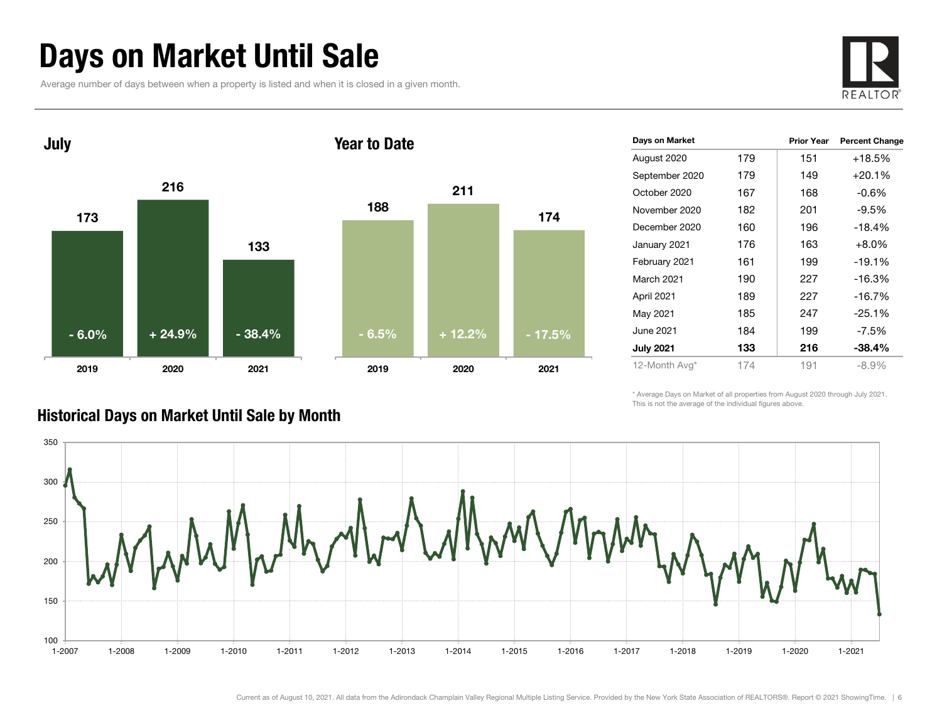## Days on Market Until Sale

Average number of days between when a property is listed and when it is closed in a given month.





| Days on Market   |     | <b>Prior Year</b> | <b>Percent Change</b> |
|------------------|-----|-------------------|-----------------------|
| August 2020      | 179 | 151               | +18.5%                |
| September 2020   | 179 | 149               | $+20.1%$              |
| October 2020     | 167 | 168               | $-0.6\%$              |
| November 2020    | 182 | 201               | $-9.5%$               |
| December 2020    | 160 | 196               | $-18.4%$              |
| January 2021     | 176 | 163               | $+8.0%$               |
| February 2021    | 161 | 199               | $-19.1%$              |
| March 2021       | 190 | 227               | $-16.3%$              |
| April 2021       | 189 | 227               | $-16.7%$              |
| May 2021         | 185 | 247               | $-25.1%$              |
| June 2021        | 184 | 199               | $-7.5%$               |
| <b>July 2021</b> | 133 | 216               | $-38.4%$              |
| 12-Month Avg*    | 174 | 191               | $-8.9\%$              |

\* Average Days on Market of all properties from August 2020 through July 2021. This is not the average of the individual figures above.



### Historical Days on Market Until Sale by Month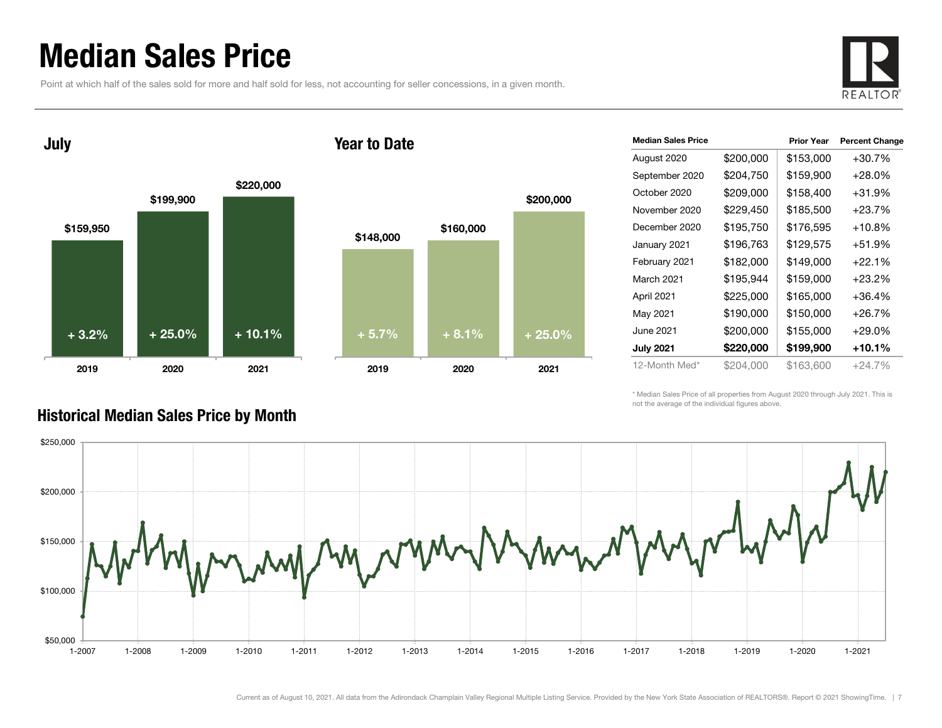## Median Sales Price

Historical Median Sales Price by Month

Point at which half of the sales sold for more and half sold for less, not accounting for seller concessions, in a given month.



July

### Year to Date



| <b>Median Sales Price</b> |           | <b>Prior Year</b> | <b>Percent Change</b> |
|---------------------------|-----------|-------------------|-----------------------|
| August 2020               | \$200,000 | \$153,000         | $+30.7%$              |
| September 2020            | \$204,750 | \$159,900         | $+28.0%$              |
| October 2020              | \$209,000 | \$158,400         | $+31.9%$              |
| November 2020             | \$229,450 | \$185,500         | $+23.7%$              |
| December 2020             | \$195,750 | \$176,595         | $+10.8%$              |
| January 2021              | \$196,763 | \$129,575         | $+51.9%$              |
| February 2021             | \$182,000 | \$149,000         | $+22.1%$              |
| March 2021                | \$195,944 | \$159,000         | $+23.2%$              |
| April 2021                | \$225,000 | \$165,000         | $+36.4%$              |
| May 2021                  | \$190,000 | \$150,000         | $+26.7%$              |
| June 2021                 | \$200,000 | \$155,000         | $+29.0%$              |
| <b>July 2021</b>          | \$220,000 | \$199,900         | +10.1%                |
| 12-Month Med*             | \$204.000 | \$163,600         | $+24.7%$              |

\* Median Sales Price of all properties from August 2020 through July 2021. This is not the average of the individual figures above.

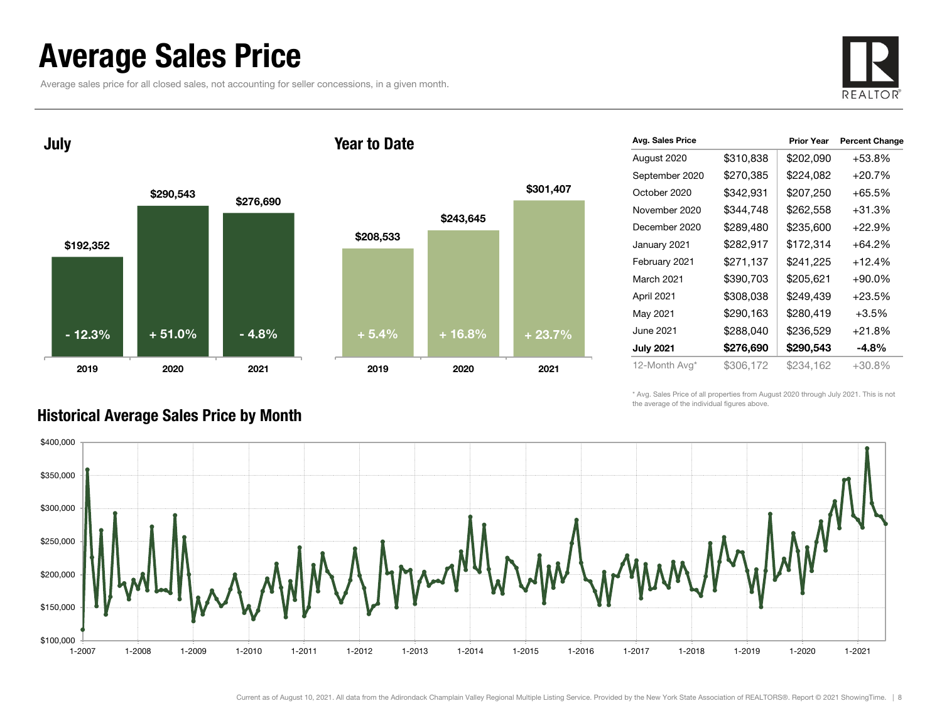## Average Sales Price

Average sales price for all closed sales, not accounting for seller concessions, in a given month.



July





| Avg. Sales Price |           | <b>Prior Year</b> | <b>Percent Change</b> |
|------------------|-----------|-------------------|-----------------------|
| August 2020      | \$310,838 | \$202,090         | $+53.8%$              |
| September 2020   | \$270,385 | \$224,082         | $+20.7%$              |
| October 2020     | \$342,931 | \$207,250         | +65.5%                |
| November 2020    | \$344,748 | \$262,558         | +31.3%                |
| December 2020    | \$289,480 | \$235,600         | +22.9%                |
| January 2021     | \$282,917 | \$172,314         | +64.2%                |
| February 2021    | \$271,137 | \$241,225         | $+12.4%$              |
| March 2021       | \$390,703 | \$205,621         | $+90.0\%$             |
| April 2021       | \$308,038 | \$249,439         | +23.5%                |
| May 2021         | \$290,163 | \$280,419         | $+3.5%$               |
| June 2021        | \$288,040 | \$236,529         | $+21.8%$              |
| <b>July 2021</b> | \$276,690 | \$290,543         | -4.8%                 |
| 12-Month Avg*    | \$306,172 | \$234,162         | $+30.8\%$             |

\* Avg. Sales Price of all properties from August 2020 through July 2021. This is not the average of the individual figures above.



### Historical Average Sales Price by Month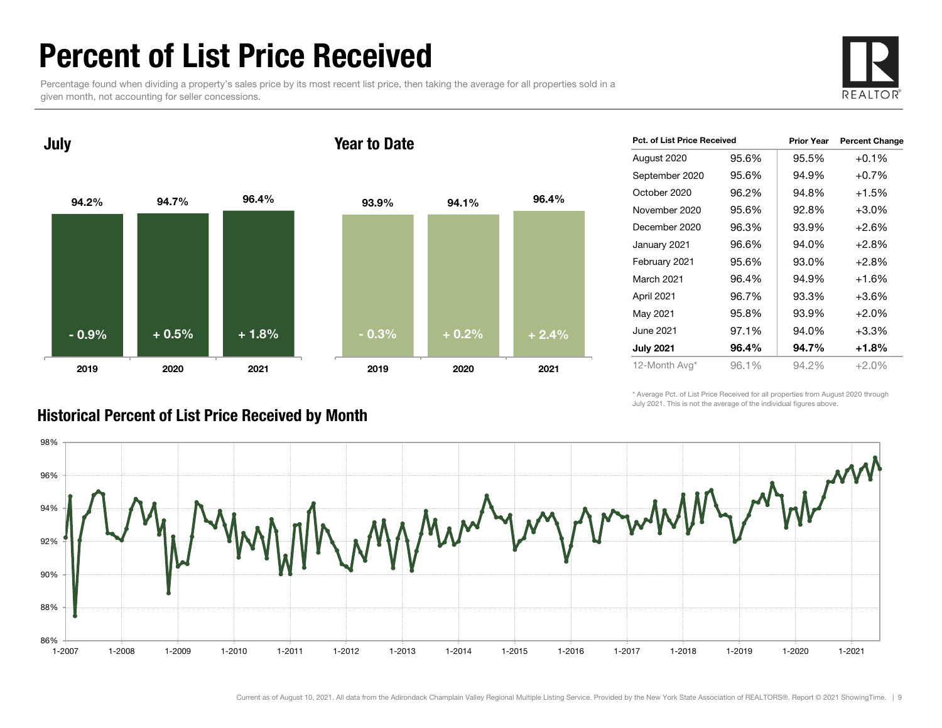## Percent of List Price Received

Percentage found when dividing a property's sales price by its most recent list price, then taking the average for all properties sold in a given month, not accounting for seller concessions.



94.2% 94.7% 96.4% 2019 2020 2021 July 93.9% 94.1% 96.4% 2019 2020 2021 Year to Date- 0.9% $\%$  + 0.5% + 1.8% - 0.3% + 0.2% + 2.4%

| Pct. of List Price Received |       | <b>Prior Year</b> | <b>Percent Change</b> |  |  |
|-----------------------------|-------|-------------------|-----------------------|--|--|
| August 2020                 | 95.6% | 95.5%             | $+0.1%$               |  |  |
| September 2020              | 95.6% | 94.9%             | $+0.7%$               |  |  |
| October 2020                | 96.2% | 94.8%             | $+1.5%$               |  |  |
| November 2020               | 95.6% | 92.8%             | $+3.0%$               |  |  |
| December 2020               | 96.3% | 93.9%             | $+2.6%$               |  |  |
| January 2021                | 96.6% | 94.0%             | $+2.8%$               |  |  |
| February 2021               | 95.6% | 93.0%             | $+2.8%$               |  |  |
| <b>March 2021</b>           | 96.4% | 94.9%             | $+1.6%$               |  |  |
| April 2021                  | 96.7% | 93.3%             | $+3.6%$               |  |  |
| May 2021                    | 95.8% | 93.9%             | $+2.0%$               |  |  |
| June 2021                   | 97.1% | 94.0%             | $+3.3%$               |  |  |
| <b>July 2021</b>            | 96.4% | 94.7%             | +1.8%                 |  |  |
| 12-Month Avg*               | 96.1% | 94.2%             | $+2.0%$               |  |  |

\* Average Pct. of List Price Received for all properties from August 2020 through July 2021. This is not the average of the individual figures above.



### Historical Percent of List Price Received by Month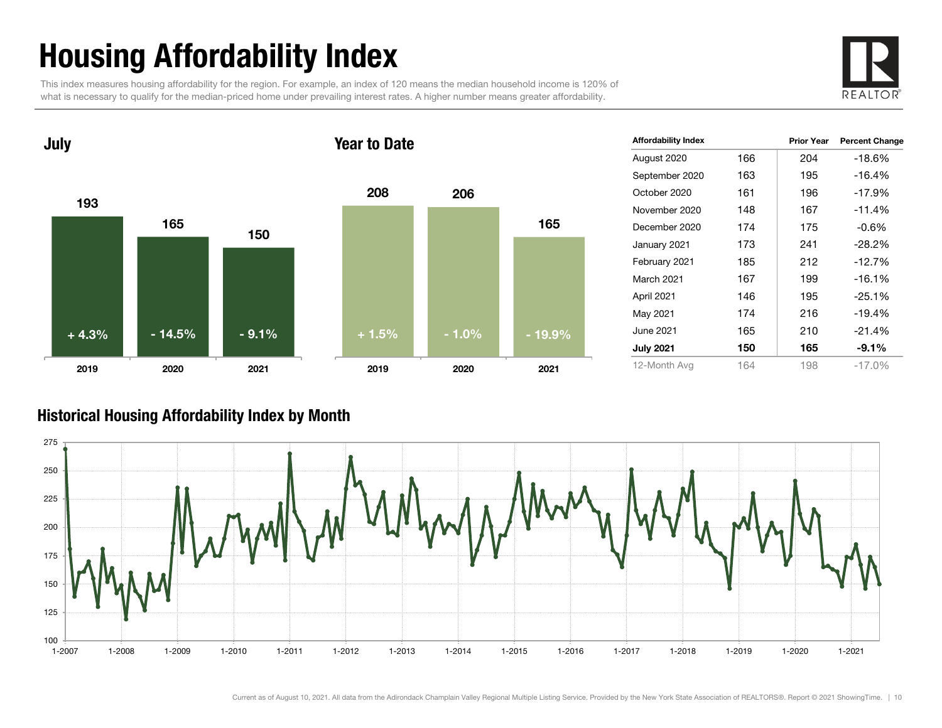# Housing Affordability Index

This index measures housing affordability for the region. For example, an index of 120 means the median household income is 120% of what is necessary to qualify for the median-priced home under prevailing interest rates. A higher number means greater affordability.





| <b>Affordability Index</b> |     | <b>Prior Year</b> | <b>Percent Change</b> |
|----------------------------|-----|-------------------|-----------------------|
| August 2020                | 166 | 204               | $-18.6%$              |
| September 2020             | 163 | 195               | $-16.4%$              |
| October 2020               | 161 | 196               | $-17.9%$              |
| November 2020              | 148 | 167               | $-11.4%$              |
| December 2020              | 174 | 175               | -0.6%                 |
| January 2021               | 173 | 241               | $-28.2%$              |
| February 2021              | 185 | 212               | $-12.7%$              |
| March 2021                 | 167 | 199               | $-16.1%$              |
| April 2021                 | 146 | 195               | $-25.1%$              |
| May 2021                   | 174 | 216               | $-19.4%$              |
| June 2021                  | 165 | 210               | $-21.4%$              |
| <b>July 2021</b>           | 150 | 165               | $-9.1\%$              |
| 12-Month Avg               | 164 | 198               | $-17.0%$              |

### Historical Housing Affordability Index by Mont h

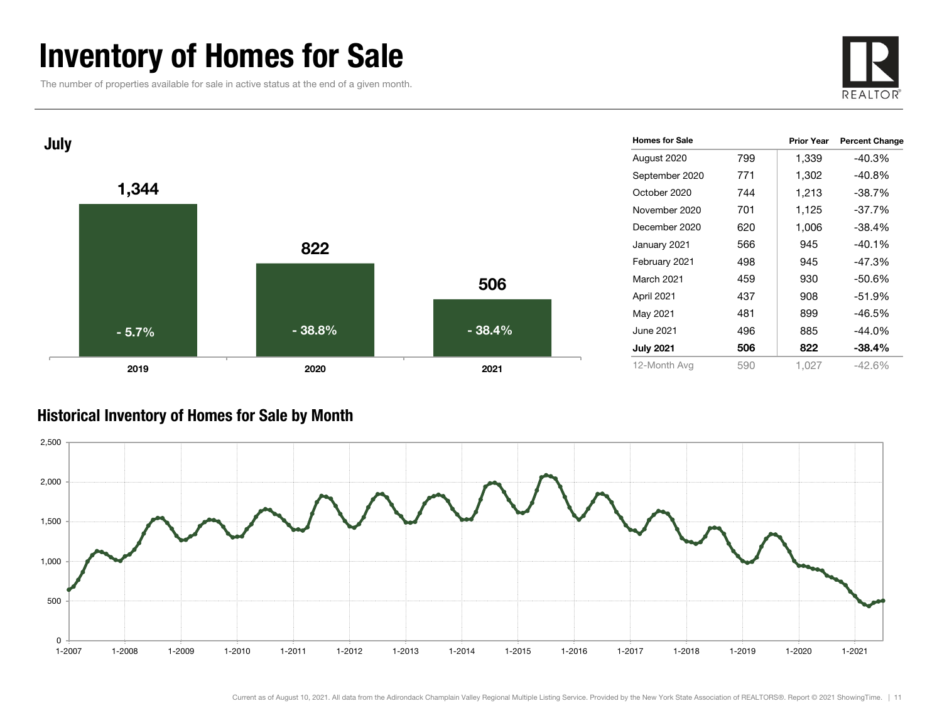## Inventory of Homes for Sale

The number of properties available for sale in active status at the end of a given month.





### Historical Inventory of Homes for Sale by Month

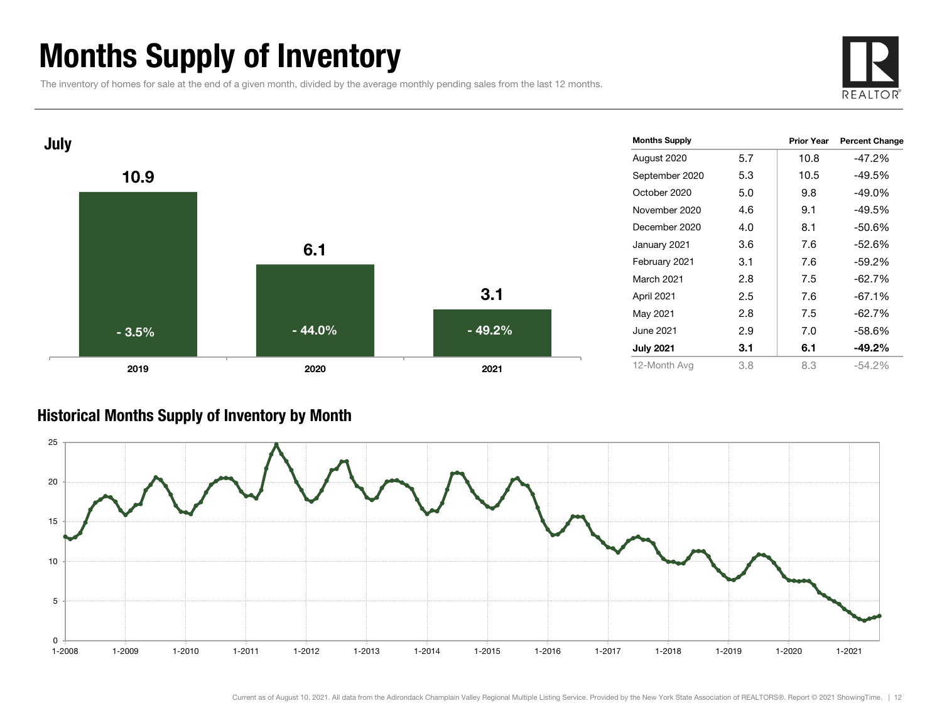## Months Supply of Inventory

The inventory of homes for sale at the end of a given month, divided by the average monthly pending sales from the last 12 months.





### Historical Months Supply of Inventory by Month



Current as of August 10, 2021. All data from the Adirondack Champlain Valley Regional Multiple Listing Service. Provided by the New York State Association of REALTORS®. Report © 2021 ShowingTime. | 12